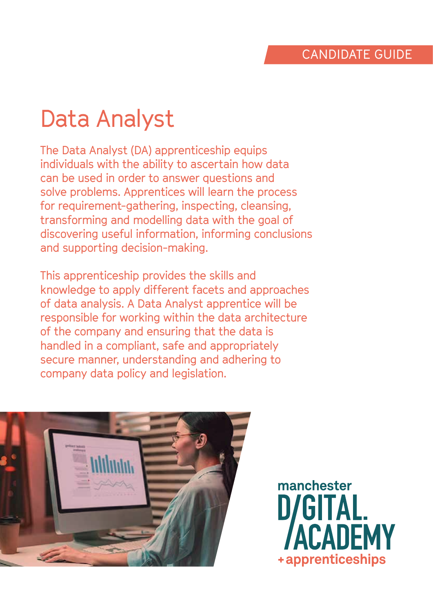# Data Analyst

The Data Analyst (DA) apprenticeship equips individuals with the ability to ascertain how data can be used in order to answer questions and solve problems. Apprentices will learn the process for requirement-gathering, inspecting, cleansing, transforming and modelling data with the goal of discovering useful information, informing conclusions and supporting decision-making.

This apprenticeship provides the skills and knowledge to apply different facets and approaches of data analysis. A Data Analyst apprentice will be responsible for working within the data architecture of the company and ensuring that the data is handled in a compliant, safe and appropriately secure manner, understanding and adhering to company data policy and legislation.



manchester **D/GITAL. CADEMY** +apprenticeships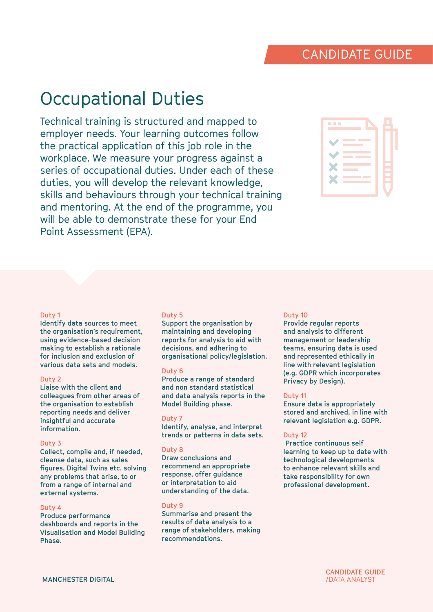# Occupational Duties

Technical training is structured and mapped to employer needs. Your learning outcomes follow the practical application of this job role in the workplace. We measure your progress against a series of occupational duties. Under each of these duties, you will develop the relevant knowledge, skills and behaviours through your technical training and mentoring. At the end of the programme, you will be able to demonstrate these for your End Point Assessment (EPA).

| <b>The Co</b>                                                                                                                                     |  |
|---------------------------------------------------------------------------------------------------------------------------------------------------|--|
| <b>Contract Contract Contract Contract Contract Contract Contract Contract Contract Contract Contract Contract Co</b><br><b>Contract Contract</b> |  |
| <b>Contract</b><br><b>Contract Contract</b>                                                                                                       |  |
| <b>Contract</b><br><b>Contract Contract</b>                                                                                                       |  |
| <b>Contract Contract</b>                                                                                                                          |  |

#### **Duty 1**

**Identify data sources to meet the organisation's requirement, using evidence-based decision making to establish a rationale for inclusion and exclusion of various data sets and models.**

#### **Duty 2**

**Liaise with the client and colleagues from other areas of the organisation to establish reporting needs and deliver insightful and accurate information.**

#### **Duty 3**

**Collect, compile and, if needed, cleanse data, such as sales figures, Digital Twins etc. solving any problems that arise, to or from a range of internal and external systems.**

#### **Duty 4**

**Produce performance dashboards and reports in the Visualisation and Model Building Phase.**

#### **Duty 5**

**Support the organisation by maintaining and developing reports for analysis to aid with decisions, and adhering to organisational policy/legislation.**

#### **Duty 6**

**Produce a range of standard and non standard statistical and data analysis reports in the Model Building phase.**

#### **Duty 7**

**Identify, analyse, and interpret trends or patterns in data sets.**

#### **Duty 8**

**Draw conclusions and recommend an appropriate response, offer guidance or interpretation to aid understanding of the data.**

#### **Duty 9**

**Summarise and present the results of data analysis to a range of stakeholders, making recommendations.**

#### **Duty 10**

**Provide regular reports and analysis to different management or leadership teams, ensuring data is used and represented ethically in line with relevant legislation (e.g. GDPR which incorporates Privacy by Design).**

#### **Duty 11**

**Ensure data is appropriately stored and archived, in line with relevant legislation e.g. GDPR.**

#### **Duty 12**

 **Practice continuous self learning to keep up to date with technological developments to enhance relevant skills and take responsibility for own professional development.**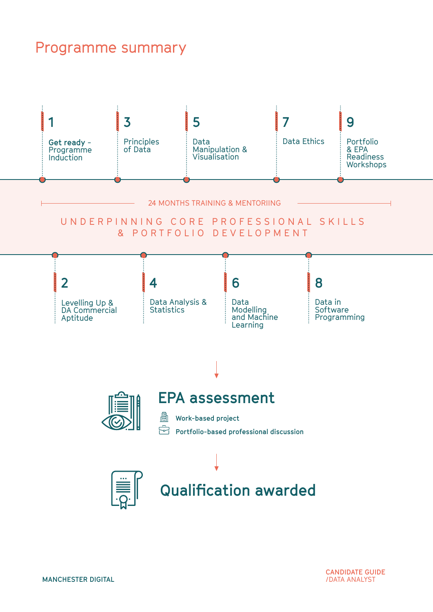## Programme summary